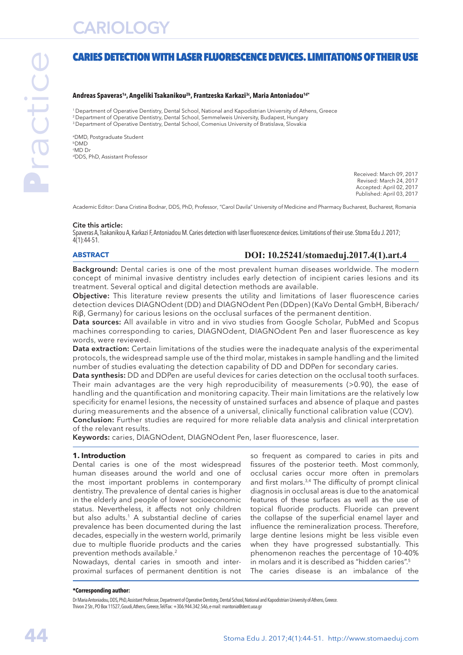# CARIES DETECTION WITH LASER FLUORESCENCE DEVICES. LIMITATIONS OF THEIR USE

#### **Andreas Spaveras1a, Angeliki Tsakanikou2b, Frantzeska Karkazi3c, Maria Antoniadou1d\***

1 Department of Operative Dentistry, Dental School, National and Kapodistrian University of Athens, Greece <sup>2</sup> Department of Operative Dentistry, Dental School, Semmelweis University, Budapest, Hungary <sup>3</sup> Department of Operative Dentistry, Dental School, Comenius University of Bratislava, Slovakia

a DMD, Postgraduate Student bDMD c MD Dr dDDS, PhD, Assistant Professor

Practice

Practice

Received: March 09, 2017 Revised: March 24, 2017 Accepted: April 02, 2017 Published: April 03, 2017

Academic Editor: Dana Cristina Bodnar, DDS, PhD, Professor, "Carol Davila" University of Medicine and Pharmacy Bucharest, Bucharest, Romania

#### Cite this article:

Spaveras A, Tsakanikou A, Karkazi F, Antoniadou M. Caries detection with laser fluorescence devices. Limitations of their use. Stoma Edu J. 2017; 4(1):44-51.

#### **ABSTRACT**

## **DOI: 10.25241/stomaeduj.2017.4(1).art.4**

Background: Dental caries is one of the most prevalent human diseases worldwide. The modern concept of minimal invasive dentistry includes early detection of incipient caries lesions and its treatment. Several optical and digital detection methods are available.

Objective: This literature review presents the utility and limitations of laser fluorescence caries detection devices DIAGNOdent (DD) and DIAGNOdent Pen (DDpen) (KaVo Dental GmbH, Biberach/ Riβ, Germany) for carious lesions on the occlusal surfaces of the permanent dentition.

Data sources: All available in vitro and in vivo studies from Google Scholar, PubMed and Scopus machines corresponding to caries, DIAGNOdent, DIAGNOdent Pen and laser fluorescence as key words, were reviewed.

Data extraction: Certain limitations of the studies were the inadequate analysis of the experimental protocols, the widespread sample use of the third molar, mistakes in sample handling and the limited number of studies evaluating the detection capability of DD and DDPen for secondary caries.

Data synthesis: DD and DDPen are useful devices for caries detection on the occlusal tooth surfaces. Their main advantages are the very high reproducibility of measurements (>0.90), the ease of handling and the quantification and monitoring capacity. Their main limitations are the relatively low specificity for enamel lesions, the necessity of unstained surfaces and absence of plaque and pastes during measurements and the absence of a universal, clinically functional calibration value (COV).

Conclusion: Further studies are required for more reliable data analysis and clinical interpretation of the relevant results.

Keywords: caries, DIAGNOdent, DIAGNOdent Pen, laser fluorescence, laser.

#### **1. Introduction**

Dental caries is one of the most widespread human diseases around the world and one of the most important problems in contemporary dentistry. The prevalence of dental caries is higher in the elderly and people of lower socioeconomic status. Nevertheless, it affects not only children but also adults.<sup>1</sup> A substantial decline of caries prevalence has been documented during the last decades, especially in the western world, primarily due to multiple fluoride products and the caries prevention methods available.<sup>2</sup>

Nowadays, dental caries in smooth and interproximal surfaces of permanent dentition is not

so frequent as compared to caries in pits and fissures of the posterior teeth. Most commonly, occlusal caries occur more often in premolars and first molars.3,4 The difficulty of prompt clinical diagnosis in occlusal areas is due to the anatomical features of these surfaces as well as the use of topical fluoride products. Fluoride can prevent the collapse of the superficial enamel layer and influence the remineralization process. Therefore, large dentine lesions might be less visible even when they have progressed substantially. This phenomenon reaches the percentage of 10-40% in molars and it is described as "hidden caries".5 The caries disease is an imbalance of the

#### **\*Corresponding author:**

Dr Maria Antoniadou, DDS, PhD, Assistant Professor, Department of Operative Dentistry, Dental School, National and Kapodistrian University of Athens, Greece. Thivon 2 Str., PO Box 11527, Goudi, Athens, Greece, Tel/Fax: +306.944.342.546, e-mail: mantonia@dent.uoa.gr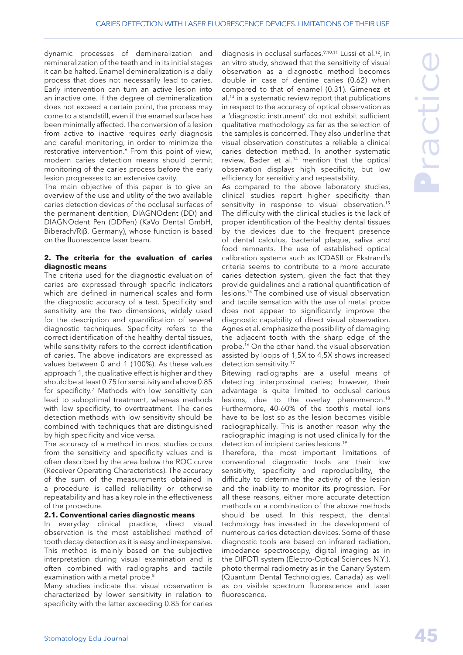dynamic processes of demineralization and remineralization of the teeth and in its initial stages it can be halted. Enamel demineralization is a daily process that does not necessarily lead to caries. Early intervention can turn an active lesion into an inactive one. If the degree of demineralization does not exceed a certain point, the process may come to a standstill, even if the enamel surface has been minimally affected. The conversion of a lesion from active to inactive requires early diagnosis and careful monitoring, in order to minimize the restorative intervention.<sup>6</sup> From this point of view, modern caries detection means should permit monitoring of the caries process before the early lesion progresses to an extensive cavity.

The main objective of this paper is to give an overview of the use and utility of the two available caries detection devices of the occlusal surfaces of the permanent dentition, DIAGNOdent (DD) and DIAGNOdent Pen (DDPen) (KaVo Dental GmbH, Biberach/Riβ, Germany), whose function is based on the fluorescence laser beam.

## **2. The criteria for the evaluation of caries diagnostic means**

The criteria used for the diagnostic evaluation of caries are expressed through specific indicators which are defined in numerical scales and form the diagnostic accuracy of a test. Specificity and sensitivity are the two dimensions, widely used for the description and quantification of several diagnostic techniques. Specificity refers to the correct identification of the healthy dental tissues, while sensitivity refers to the correct identification of caries. The above indicators are expressed as values between 0 and 1 (100%). As these values approach 1, the qualitative effect is higher and they should be at least 0.75 for sensitivity and above 0.85 for specificity.<sup>7</sup> Methods with low sensitivity can lead to suboptimal treatment, whereas methods with low specificity, to overtreatment. The caries detection methods with low sensitivity should be combined with techniques that are distinguished by high specificity and vice versa.

The accuracy of a method in most studies occurs from the sensitivity and specificity values and is often described by the area below the ROC curve (Receiver Operating Characteristics). The accuracy of the sum of the measurements obtained in a procedure is called reliability or otherwise repeatability and has a key role in the effectiveness of the procedure.

#### **2.1. Conventional caries diagnostic means**

In everyday clinical practice, direct visual observation is the most established method of tooth decay detection as it is easy and inexpensive. This method is mainly based on the subjective interpretation during visual examination and is often combined with radiographs and tactile examination with a metal probe.<sup>8</sup>

Many studies indicate that visual observation is characterized by lower sensitivity in relation to specificity with the latter exceeding 0.85 for caries

diagnosis in occlusal surfaces.9,10,11 Lussi et al.12, in an vitro study, showed that the sensitivity of visual observation as a diagnostic method becomes double in case of dentine caries (0.62) when compared to that of enamel (0.31). Gimenez et al.13 in a systematic review report that publications in respect to the accuracy of optical observation as a 'diagnostic instrument' do not exhibit sufficient qualitative methodology as far as the selection of the samples is concerned. They also underline that visual observation constitutes a reliable a clinical caries detection method. In another systematic review, Bader et al.<sup>14</sup> mention that the optical observation displays high specificity, but low efficiency for sensitivity and repeatability.

As compared to the above laboratory studies, clinical studies report higher specificity than sensitivity in response to visual observation.<sup>15</sup> The difficulty with the clinical studies is the lack of proper identification of the healthy dental tissues by the devices due to the frequent presence of dental calculus, bacterial plaque, saliva and food remnants. The use of established optical calibration systems such as ICDASII or Ekstrand's criteria seems to contribute to a more accurate caries detection system, given the fact that they provide guidelines and a rational quantification of lesions.15 The combined use of visual observation and tactile sensation with the use of metal probe does not appear to significantly improve the diagnostic capability of direct visual observation. Agnes et al. emphasize the possibility of damaging the adjacent tooth with the sharp edge of the probe.16 On the other hand, the visual observation assisted by loops of 1,5X to 4,5X shows increased detection sensitivity.<sup>17</sup>

Bitewing radiographs are a useful means of detecting interproximal caries; however, their advantage is quite limited to occlusal carious lesions, due to the overlay phenomenon.<sup>18</sup> Furthermore, 40-60% of the tooth's metal ions have to be lost so as the lesion becomes visible radiographically. This is another reason why the radiographic imaging is not used clinically for the detection of incipient caries lesions.19

Therefore, the most important limitations of conventional diagnostic tools are their low sensitivity, specificity and reproducibility, the difficulty to determine the activity of the lesion and the inability to monitor its progression. For all these reasons, either more accurate detection methods or a combination of the above methods should be used. In this respect, the dental technology has invested in the development of numerous caries detection devices. Some of these diagnostic tools are based on infrared radiation, impedance spectroscopy, digital imaging as in the DIFOTI system (Electro-Optical Sciences N.Y.), photo thermal radiometry as in the Canary System (Quantum Dental Technologies, Canada) as well as on visible spectrum fluorescence and laser fluorescence.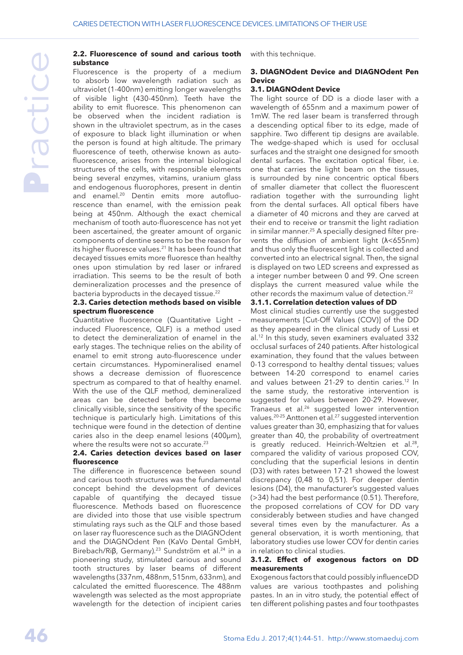#### **2.2. Fluorescence of sound and carious tooth substance**

Fluorescence is the property of a medium to absorb low wavelength radiation such as ultraviolet (1-400nm) emitting longer wavelengths of visible light (430-450nm). Teeth have the ability to emit fluoresce. This phenomenon can be observed when the incident radiation is shown in the ultraviolet spectrum, as in the cases of exposure to black light illumination or when the person is found at high altitude. The primary fluorescence of teeth, otherwise known as autofluorescence, arises from the internal biological structures of the cells, with responsible elements being several enzymes, vitamins, uranium glass and endogenous fluorophores, present in dentin and enamel.20 Dentin emits more autofluorescence than enamel, with the emission peak being at 450nm. Although the exact chemical mechanism of tooth auto-fluorescence has not yet been ascertained, the greater amount of organic components of dentine seems to be the reason for its higher fluoresce values.<sup>21</sup> It has been found that decayed tissues emits more fluoresce than healthy ones upon stimulation by red laser or infrared irradiation. This seems to be the result of both demineralization processes and the presence of bacteria byproducts in the decayed tissue.<sup>22</sup>

## **2.3. Caries detection methods based on visible spectrum fluorescence**

Quantitative fluorescence (Quantitative Light – induced Fluorescence, QLF) is a method used to detect the demineralization of enamel in the early stages. The technique relies on the ability of enamel to emit strong auto-fluorescence under certain circumstances. Hypomineralised enamel shows a decrease demission of fluorescence spectrum as compared to that of healthy enamel. With the use of the QLF method, demineralized areas can be detected before they become clinically visible, since the sensitivity of the specific technique is particularly high. Limitations of this technique were found in the detection of dentine caries also in the deep enamel lesions (400μm), where the results were not so accurate.<sup>23</sup>

## **2.4. Caries detection devices based on laser fluorescence**

The difference in fluorescence between sound and carious tooth structures was the fundamental concept behind the development of devices capable of quantifying the decayed tissue fluorescence. Methods based on fluorescence are divided into those that use visible spectrum stimulating rays such as the QLF and those based on laser ray fluorescence such as the DIAGNOdent and the DIAGNOdent Pen (KaVo Dental GmbH, Birebach/Riβ, Germany).<sup>23</sup> Sundström et al.<sup>24</sup> in a pioneering study, stimulated carious and sound tooth structures by laser beams of different wavelengths (337nm, 488nm, 515nm, 633nm), and calculated the emitted fluorescence. The 488nm wavelength was selected as the most appropriate wavelength for the detection of incipient caries

with this technique.

## **3. DIAGNOdent Device and DIAGNOdent Pen Device**

## **3.1. DIAGNOdent Device**

The light source of DD is a diode laser with a wavelength of 655nm and a maximum power of 1mW. The red laser beam is transferred through a descending optical fiber to its edge, made of sapphire. Two different tip designs are available. The wedge-shaped which is used for occlusal surfaces and the straight one designed for smooth dental surfaces. The excitation optical fiber, i.e. one that carries the light beam on the tissues, is surrounded by nine concentric optical fibers of smaller diameter that collect the fluorescent radiation together with the surrounding light from the dental surfaces. All optical fibers have a diameter of 40 microns and they are carved at their end to receive or transmit the light radiation in similar manner.<sup>25</sup> A specially designed filter prevents the diffusion of ambient light (λ<655nm) and thus only the fluorescent light is collected and converted into an electrical signal. Then, the signal is displayed on two LED screens and expressed as a integer number between 0 and 99. One screen displays the current measured value while the other records the maximum value of detection.<sup>22</sup>

## **3.1.1. Correlation detection values of DD**

Most clinical studies currently use the suggested measurements [Cut-Off Values (COV)] of the DD as they appeared in the clinical study of Lussi et al.12 In this study, seven examiners evaluated 332 occlusal surfaces of 240 patients. After histological examination, they found that the values between 0-13 correspond to healthy dental tissues; values between 14-20 correspond to enamel caries and values between 21-29 to dentin caries.<sup>12</sup> In the same study, the restorative intervention is suggested for values between 20-29. However, Tranaeus et al.26 suggested lower intervention values.20-25 Anttonen et al.27 suggested intervention values greater than 30, emphasizing that for values greater than 40, the probability of overtreatment is greatly reduced. Heinrich-Weltzien et al.<sup>28</sup>, compared the validity of various proposed COV, concluding that the superficial lesions in dentin (D3) with rates between 17-21 showed the lowest discrepancy (0,48 to 0,51). For deeper dentin lesions (D4), the manufacturer's suggested values (>34) had the best performance (0.51). Therefore, the proposed correlations of COV for DD vary considerably between studies and have changed several times even by the manufacturer. As a general observation, it is worth mentioning, that laboratory studies use lower COV for dentin caries in relation to clinical studies.

#### **3.1.2. Effect of exogenous factors on DD measurements**

Exogenous factors that could possibly influenceDD values are various toothpastes and polishing pastes. In an in vitro study, the potential effect of ten different polishing pastes and four toothpastes

Practice

Practice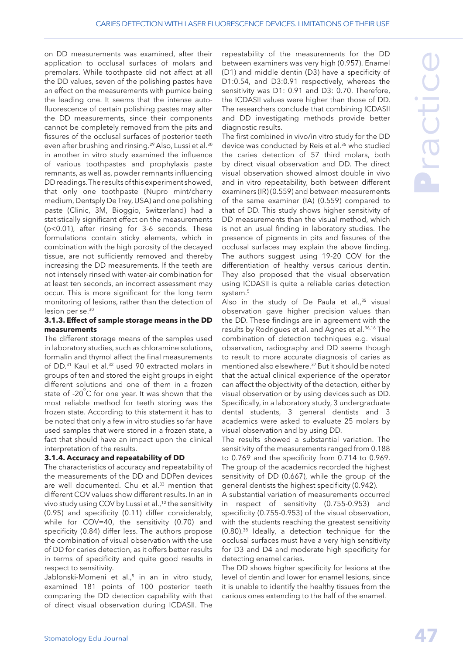on DD measurements was examined, after their application to occlusal surfaces of molars and premolars. While toothpaste did not affect at all the DD values, seven of the polishing pastes have an effect on the measurements with pumice being the leading one. It seems that the intense autofluorescence of certain polishing pastes may alter the DD measurements, since their components cannot be completely removed from the pits and fissures of the occlusal surfaces of posterior teeth even after brushing and rinsing.<sup>29</sup> Also, Lussi et al.<sup>30</sup> in another in vitro study examined the influence of various toothpastes and prophylaxis paste remnants, as well as, powder remnants influencing DD readings. The results of this experiment showed, that only one toothpaste (Nupro mint/cherry medium, Dentsply De Trey, USA) and one polishing paste (Clinic, 3M, Bioggio, Switzerland) had a statistically significant effect on the measurements (*p*<0.01), after rinsing for 3-6 seconds. These formulations contain sticky elements, which in combination with the high porosity of the decayed tissue, are not sufficiently removed and thereby increasing the DD measurements. If the teeth are not intensely rinsed with water-air combination for at least ten seconds, an incorrect assessment may occur. This is more significant for the long term monitoring of lesions, rather than the detection of lesion per se.30

## **3.1.3. Effect of sample storage means in the DD measurements**

The different storage means of the samples used in laboratory studies, such as chloramine solutions, formalin and thymol affect the final measurements of DD.<sup>31</sup> Kaul et al.<sup>32</sup> used 90 extracted molars in groups of ten and stored the eight groups in eight different solutions and one of them in a frozen state of -20 $\degree$ C for one year. It was shown that the most reliable method for teeth storing was the frozen state. According to this statement it has to be noted that only a few in vitro studies so far have used samples that were stored in a frozen state, a fact that should have an impact upon the clinical interpretation of the results.

#### **3.1.4. Accuracy and repeatability of DD**

The characteristics of accuracy and repeatability of the measurements of the DD and DDPen devices are well documented. Chu et al.<sup>33</sup> mention that different COV values show different results. In an in vivo study using COV by Lussi et al.,<sup>12</sup> the sensitivity (0.95) and specificity (0.11) differ considerably, while for COV=40, the sensitivity (0.70) and specificity (0.84) differ less. The authors propose the combination of visual observation with the use of DD for caries detection, as it offers better results in terms of specificity and quite good results in respect to sensitivity.

Jablonski-Momeni et al.,<sup>5</sup> in an in vitro study, examined 181 points of 100 posterior teeth comparing the DD detection capability with that of direct visual observation during ICDASII. The

repeatability of the measurements for the DD between examiners was very high (0.957). Enamel (D1) and middle dentin (D3) have a specificity of D1:0.54, and D3:0.91 respectively, whereas the sensitivity was D1: 0.91 and D3: 0.70. Therefore, the ICDASII values were higher than those of DD. The researchers conclude that combining ICDASII and DD investigating methods provide better diagnostic results.

The first combined in vivo/in vitro study for the DD device was conducted by Reis et al.<sup>35</sup> who studied the caries detection of 57 third molars, both by direct visual observation and DD. The direct visual observation showed almost double in vivo and in vitro repeatability, both between different examiners (IR) (0.559) and between measurements of the same examiner (IA) (0.559) compared to that of DD. This study shows higher sensitivity of DD measurements than the visual method, which is not an usual finding in laboratory studies. The presence of pigments in pits and fissures of the occlusal surfaces may explain the above finding. The authors suggest using 19-20 COV for the differentiation of healthy versus carious dentin. They also proposed that the visual observation using ICDASII is quite a reliable caries detection system.<sup>5</sup>

Also in the study of De Paula et al.,<sup>35</sup> visual observation gave higher precision values than the DD. These findings are in agreement with the results by Rodrigues et al. and Agnes et al.36,16 The combination of detection techniques e.g. visual observation, radiography and DD seems though to result to more accurate diagnosis of caries as mentioned also elsewhere.37 But it should be noted that the actual clinical experience of the operator can affect the objectivity of the detection, either by visual observation or by using devices such as DD. Specifically, in a laboratory study, 3 undergraduate dental students, 3 general dentists and 3 academics were asked to evaluate 25 molars by visual observation and by using DD.

The results showed a substantial variation. The sensitivity of the measurements ranged from 0.188 to 0.769 and the specificity from 0.714 to 0.969. The group of the academics recorded the highest sensitivity of DD (0.667), while the group of the general dentists the highest specificity (0.942).

A substantial variation of measurements occurred in respect of sensitivity (0.755-0.953) and specificity (0.755-0.953) of the visual observation, with the students reaching the greatest sensitivity (0.80).38 Ideally, a detection technique for the occlusal surfaces must have a very high sensitivity for D3 and D4 and moderate high specificity for detecting enamel caries.

The DD shows higher specificity for lesions at the level of dentin and lower for enamel lesions, since it is unable to identify the healthy tissues from the carious ones extending to the half of the enamel.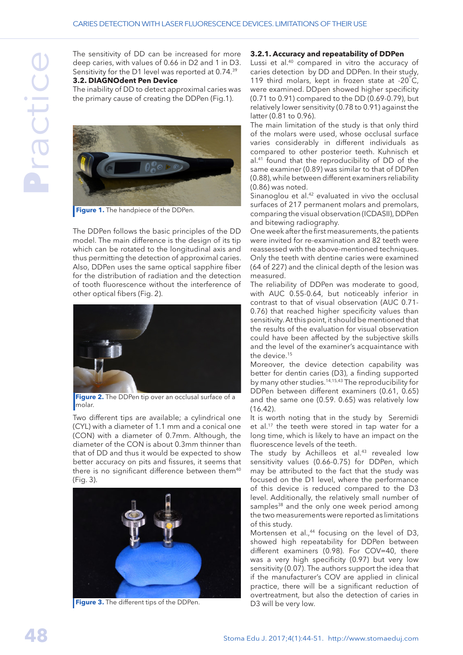The sensitivity of DD can be increased for more deep caries, with values of 0.66 in D2 and 1 in D3. Sensitivity for the D1 level was reported at 0.74.39

#### **3.2. DIAGNOdent Pen Device**

The inability of DD to detect approximal caries was the primary cause of creating the DDPen (Fig.1).



**Figure 1.** The handpiece of the DDPen.

The DDPen follows the basic principles of the DD model. The main difference is the design of its tip which can be rotated to the longitudinal axis and thus permitting the detection of approximal caries. Also, DDPen uses the same optical sapphire fiber for the distribution of radiation and the detection of tooth fluorescence without the interference of other optical fibers (Fig. 2).



**Figure 2.** The DDPen tip over an occlusal surface of a molar.

Two different tips are available; a cylindrical one (CYL) with a diameter of 1.1 mm and a conical one (CON) with a diameter of 0.7mm. Although, the diameter of the CON is about 0.3mm thinner than that of DD and thus it would be expected to show better accuracy on pits and fissures, it seems that there is no significant difference between them<sup>40</sup> (Fig. 3).



**Figure 3.** The different tips of the DDPen.

#### **3.2.1. Accuracy and repeatability of DDPen**

Lussi et al.40 compared in vitro the accuracy of caries detection by DD and DDPen. In their study, 119 third molars, kept in frozen state at  $-20^{\circ}$ C, were examined. DDpen showed higher specificity (0.71 to 0.91) compared to the DD (0.69-0.79), but relatively lower sensitivity (0.78 to 0.91) against the latter (0.81 to 0.96).

The main limitation of the study is that only third of the molars were used, whose occlusal surface varies considerably in different individuals as compared to other posterior teeth. Kuhnisch et al.41 found that the reproducibility of DD of the same examiner (0.89) was similar to that of DDPen (0.88), while between different examiners reliability (0.86) was noted.

Sinanoglou et al.<sup>42</sup> evaluated in vivo the occlusal surfaces of 217 permanent molars and premolars, comparing the visual observation (ICDASII), DDPen and bitewing radiography.

One week after the first measurements, the patients were invited for re-examination and 82 teeth were reassessed with the above-mentioned techniques. Only the teeth with dentine caries were examined (64 of 227) and the clinical depth of the lesion was measured.

The reliability of DDPen was moderate to good, with AUC 0.55-0.64, but noticeably inferior in contrast to that of visual observation (AUC 0.71- 0.76) that reached higher specificity values than sensitivity. At this point, it should be mentioned that the results of the evaluation for visual observation could have been affected by the subjective skills and the level of the examiner's acquaintance with the device.15

Moreover, the device detection capability was better for dentin caries (D3), a finding supported by many other studies.14,15,43 The reproducibility for DDPen between different examiners (0.61, 0.65) and the same one (0.59. 0.65) was relatively low (16.42).

It is worth noting that in the study by Seremidi et al.17 the teeth were stored in tap water for a long time, which is likely to have an impact on the fluorescence levels of the teeth.

The study by Achilleos et al.<sup>43</sup> revealed low sensitivity values (0.66-0.75) for DDPen, which may be attributed to the fact that the study was focused on the D1 level, where the performance of this device is reduced compared to the D3 level. Additionally, the relatively small number of samples<sup>38</sup> and the only one week period among the two measurements were reported as limitations of this study.

Mortensen et al.,<sup>44</sup> focusing on the level of D3, showed high repeatability for DDPen between different examiners (0.98). For COV=40, there was a very high specificity (0.97) but very low sensitivity (0.07). The authors support the idea that if the manufacturer's COV are applied in clinical practice, there will be a significant reduction of overtreatment, but also the detection of caries in D3 will be very low.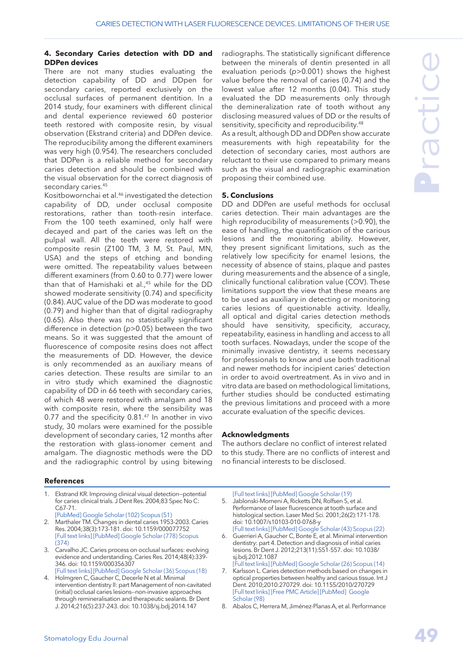#### **4. Secondary Caries detection with DD and DDPen devices**

There are not many studies evaluating the detection capability of DD and DDpen for secondary caries, reported exclusively on the occlusal surfaces of permanent dentition. In a 2014 study, four examiners with different clinical and dental experience reviewed 60 posterior teeth restored with composite resin, by visual observation (Ekstrand criteria) and DDPen device. The reproducibility among the different examiners was very high (0.954). The researchers concluded that DDPen is a reliable method for secondary caries detection and should be combined with the visual observation for the correct diagnosis of secondary caries.<sup>45</sup>

Kositbowornchai et al.<sup>46</sup> investigated the detection capability of DD, under occlusal composite restorations, rather than tooth-resin interface. From the 100 teeth examined, only half were decayed and part of the caries was left on the pulpal wall. All the teeth were restored with composite resin (Z100 TM, 3 M, St. Paul, MN, USA) and the steps of etching and bonding were omitted. The repeatability values between different examiners (from 0.60 to 0.77) were lower than that of Hamishaki et al.,<sup>45</sup> while for the DD showed moderate sensitivity (0.74) and specificity (0.84). AUC value of the DD was moderate to good (0.79) and higher than that of digital radiography (0.65). Also there was no statistically significant difference in detection (*p*>0.05) between the two means. So it was suggested that the amount of fluorescence of composite resins does not affect the measurements of DD. However, the device is only recommended as an auxiliary means of caries detection. These results are similar to an in vitro study which examined the diagnostic capability of DD in 66 teeth with secondary caries, of which 48 were restored with amalgam and 18 with composite resin, where the sensibility was 0.77 and the specificity 0.81.47 In another in vivo study, 30 molars were examined for the possible development of secondary caries, 12 months after the restoration with glass-ionomer cement and amalgam. The diagnostic methods were the DD and the radiographic control by using bitewing

#### radiographs. The statistically significant difference between the minerals of dentin presented in all evaluation periods (*p*>0.001) shows the highest value before the removal of caries (0.74) and the lowest value after 12 months (0.04). This study evaluated the DD measurements only through the demineralization rate of tooth without any disclosing measured values of DD or the results of sensitivity, specificity and reproducibility.<sup>48</sup>

As a result, although DD and DDPen show accurate measurements with high repeatability for the detection of secondary caries, most authors are reluctant to their use compared to primary means such as the visual and radiographic examination proposing their combined use.

## **5. Conclusions**

DD and DDPen are useful methods for occlusal caries detection. Their main advantages are the high reproducibility of measurements (>0.90), the ease of handling, the quantification of the carious lesions and the monitoring ability. However, they present significant limitations, such as the relatively low specificity for enamel lesions, the necessity of absence of stains, plaque and pastes during measurements and the absence of a single, clinically functional calibration value (COV). These limitations support the view that these means are to be used as auxiliary in detecting or monitoring caries lesions of questionable activity. Ideally, all optical and digital caries detection methods should have sensitivity, specificity, accuracy, repeatability, easiness in handling and access to all tooth surfaces. Nowadays, under the scope of the minimally invasive dentistry, it seems necessary for professionals to know and use both traditional and newer methods for incipient caries' detection in order to avoid overtreatment. As in vivo and in vitro data are based on methodological limitations, further studies should be conducted estimating the previous limitations and proceed with a more accurate evaluation of the specific devices.

## **Acknowledgments**

The authors declare no conflict of interest related to this study. There are no conflicts of interest and no financial interests to be disclosed.

## **References**

- 1. Ekstrand KR. Improving clinical visual detection--potential for caries clinical trials. J Dent Res. 2004;83 Spec No C: C67-71. [\[PubMed\]](https://www.ncbi.nlm.nih.gov/pubmed/15286125) [Google Scholar \(102\)](https://scholar.google.com/scholar?cluster=5960142743421535114&hl=en&as_sdt=0,5) [Scopus \(51\)](https://www.scopus.com/record/display.uri?eid=2-s2.0-4143145576&origin=resultslist&sort=plf-t&src=s&st1=.+Improving+clinical+visual+detection--potential+for+caries+clinical+trials&st2=&sid=d493dec8ce05e49c811a3692c47b0a0b&sot=b&sdt=b&sl=82&s=TITLE%28.+Improving+clinical+visual+detection--potential+for+caries+clinical+trials%29&relpos=0&citeCnt=51&searchTerm=)
- 2. Marthaler TM. Changes in dental caries 1953-2003. Caries Res. 2004;38(3):173-181. doi: 10.1159/000077752 [\[Full text links\]](https://www.karger.com/?DOI=10.1159/000077752) [\[PubMed\]](https://www.ncbi.nlm.nih.gov/pubmed/15153686) [Google Scholar \(778\)](https://scholar.google.com/scholar?cluster=10059794540103131270&hl=en&as_sdt=0,5) [Scopus](https://www.scopus.com/record/display.uri?eid=2-s2.0-2642517744&origin=resultslist&sort=plf-t&src=s&st1=Changes+in+dental+caries+1953-2003&st2=&sid=d493dec8ce05e49c811a3692c47b0a0b&sot=b&sdt=b&sl=41&s=TITLE%28Changes+in+dental+caries+1953-2003%29&relpos=0&citeCnt=374&searchTerm=)  [\(374\)](https://www.scopus.com/record/display.uri?eid=2-s2.0-2642517744&origin=resultslist&sort=plf-t&src=s&st1=Changes+in+dental+caries+1953-2003&st2=&sid=d493dec8ce05e49c811a3692c47b0a0b&sot=b&sdt=b&sl=41&s=TITLE%28Changes+in+dental+caries+1953-2003%29&relpos=0&citeCnt=374&searchTerm=)
- 3. Carvalho JC. Caries process on occlusal surfaces: evolving evidence and understanding. Caries Res. 2014;48(4):339- 346. doi: 10.1159/000356307
- [\[Full text links\]](https://www.karger.com/?DOI=10.1159/000356307) [\[PubMed\]](https://www.ncbi.nlm.nih.gov/pubmed/24577073) [Google Scholar \(36\)](https://scholar.google.com/scholar?cluster=2863991254580090532&hl=en&as_sdt=0,5) [Scopus \(18\)](https://www.scopus.com/record/display.uri?eid=2-s2.0-84895578886&origin=resultslist&sort=plf-f&src=s&st1=Caries+process+on+occlusal+surfaces%3a+evolving+evidence+and+understanding.+&st2=&sid=d493dec8ce05e49c811a3692c47b0a0b&sot=b&sdt=b&sl=81&s=TITLE%28Caries+process+on+occlusal+surfaces%3a+evolving+evidence+and+understanding.+%29&relpos=0&citeCnt=18&searchTerm=) 4. Holmgren C, Gaucher C, Decerle N et al. Minimal
- intervention dentistry II: part Management of non-cavitated (initial) occlusal caries lesions--non-invasive approaches through remineralisation and therapeutic sealants. Br Dent J. 2014;216(5):237-243. doi: 10.1038/sj.bdj.2014.147
- [\[Full text links\]](http://dx.doi.org/10.1038/sj.bdj.2014.147) [\[PubMed\]](https://www.ncbi.nlm.nih.gov/pubmed/24603245) [Google Scholar \(19\)](https://scholar.google.com/scholar?cluster=1020109846696579494&hl=en&as_sdt=0,5) 5. Jablonski-Momeni A, Ricketts DN, Rolfsen S, et al. Performance of laser fluorescence at tooth surface and histological section. Laser Med Sci. 2001;26(2):171-178. doi: 10.1007/s10103-010-0768-y
- [\[Full text links\]](https://dx.doi.org/10.1007/s10103-010-0768-y) [\[PubMed\]](https://www.ncbi.nlm.nih.gov/pubmed/20221781) [Google Scholar \(43\)](https://scholar.google.com/scholar?cluster=565713303165069568&hl=en&as_sdt=0,5) [Scopus \(22\)](https://www.scopus.com/record/display.uri?eid=2-s2.0-79954425948&origin=resultslist&sort=plf-t&src=s&st1=Performance+of+laser+fluorescence+at+tooth+surface+and+histological+section.+&st2=&sid=d493dec8ce05e49c811a3692c47b0a0b&sot=b&sdt=b&sl=84&s=TITLE%28Performance+of+laser+fluorescence+at+tooth+surface+and+histological+section.+%29&relpos=0&citeCnt=22&searchTerm=) 6. Guerrieri A, Gaucher C, Bonte E, et al. Minimal intervention dentistry: part 4. Detection and diagnosis of initial caries lesions. Br Dent J. 2012;213(11):551-557. doi: 10.1038/ sj.bdj.2012.1087

[\[Full text links\]](http://dx.doi.org/10.1038/sj.bdj.2012.1087) [\[PubMed\]](https://www.ncbi.nlm.nih.gov/pubmed/23222326) [Google Scholar \(26\)](https://scholar.google.com/scholar?cluster=1674350155173407447&hl=en&as_sdt=0,5) [Scopus \(14\)](https://www.scopus.com/record/display.uri?eid=2-s2.0-84870922686&origin=resultslist&sort=plf-t&src=s&st1=Minimal+intervention+dentistry%3a+part+4.+Detection+and+diagnosis+of+initial+caries+lesions.&st2=&sid=d493dec8ce05e49c811a3692c47b0a0b&sot=b&sdt=b&sl=97&s=TITLE%28Minimal+intervention+dentistry%3a+part+4.+Detection+and+diagnosis+of+initial+caries+lesions.%29&relpos=0&citeCnt=14&searchTerm=) 7. Karlsson L. Caries detection methods based on changes in optical properties between healthy and carious tissue. Int J Dent. 2010;2010:270729. doi: 10.1155/2010/270729 [\[Full text links\]](https://dx.doi.org/10.1155/2010/270729) [\[Free PMC Article\]](https://www.ncbi.nlm.nih.gov/pmc/articles/pmid/20454579/) [\[PubMed\]](https://www.ncbi.nlm.nih.gov/pubmed/20454579) [Google](https://scholar.google.com/scholar?cluster=16591875225602219251&hl=en&as_sdt=0,5)  [Scholar \(98\)](https://scholar.google.com/scholar?cluster=16591875225602219251&hl=en&as_sdt=0,5)

<sup>8.</sup> Abalos C, Herrera M, Jiménez-Planas A, et al. Performance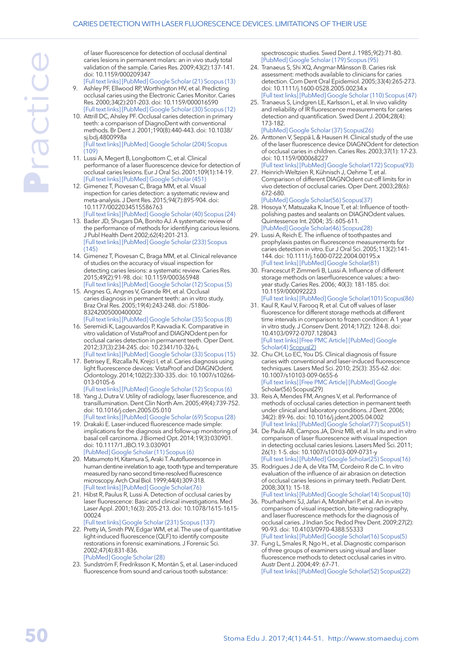of laser fluorescence for detection of occlusal dentinal caries lesions in permanent molars: an in vivo study total validation of the sample. Caries Res. 2009;43(2):137-141. doi: 10.1159/000209347

- [\[Full text links\]](https://www.karger.com/?DOI=10.1159/000209347) [\[PubMed\]](https://www.ncbi.nlm.nih.gov/pubmed/19321992) [Google Scholar \(21\)](https://scholar.google.com/scholar?cluster=17141717674787342966&hl=en&as_sdt=0,5) [Scopus \(13\)](https://www.scopus.com/record/display.uri?eid=2-s2.0-62849104083&origin=resultslist&sort=plf-t&src=s&st1=Performance+of+laser+fluorescence+for+detection+of+occlusal+dentinal+caries+lesions+in+permanent+molars%3a+an+in+vivo+study+total+validation+of+the+sample.&st2=&sid=d493dec8ce05e49c811a3692c47b0a0b&sot=b&sdt=b&sl=160&s=TITLE%28Performance+of+laser+fluorescence+for+detection+of+occlusal+dentinal+caries+lesions+in+permanent+molars%3a+an+in+vivo+study+total+validation+of+the+sample.%29&relpos=0&citeCnt=13&searchTerm=) 9. Ashley PF, Ellwood RP, Worthington HV, et al. Predicting occlusal caries using the Electronic Caries Monitor. Caries Res. 2000;34(2):201-203. doi: 10.1159/000016590 [\[Full text links\]](https://www.karger.com/?DOI=10.1159/000016590) [\[PubMed\]](https://www.ncbi.nlm.nih.gov/pubmed/10773640) [Google Scholar \(30\)](https://scholar.google.com/scholar?cluster=9931841572345013277&hl=en&as_sdt=0,5) [Scopus \(12\)](https://www.scopus.com/record/display.uri?eid=2-s2.0-0042829602&origin=resultslist&sort=plf-t&src=s&st1=Predicting+occlusal+caries+using+the+Electronic+Caries+Monitor.&st2=&sid=d493dec8ce05e49c811a3692c47b0a0b&sot=b&sdt=b&sl=70&s=TITLE%28Predicting+occlusal+caries+using+the+Electronic+Caries+Monitor.%29&relpos=0&citeCnt=12&searchTerm=)
- 10. Attrill DC, Ahsley PF. Occlusal caries detection in primary teeth: a comparison of DiagnoDent with conventional methods. Br Dent J. 2001;190(8):440-443. doi: 10.1038/ sj.bdj.4800998a [\[Full text links\]](http://dx.doi.org/10.1038/sj.bdj.4800998a) [\[PubMed\]](https://www.ncbi.nlm.nih.gov/pubmed/11352392) [Google Scholar \(204\)](https://scholar.google.com/scholar?cluster=7439521177207385982&hl=en&as_sdt=0,5) [Scopus](https://www.scopus.com/record/display.uri?eid=2-s2.0-0035962477&origin=resultslist&sort=plf-t&src=s&st1=Occlusal+caries+detection+in+primary+teeth%3a+a+comparison+of+DiagnoDent+with+conventional+methods.+&st2=&sid=d493dec8ce05e49c811a3692c47b0a0b&sot=b&sdt=b&sl=105&s=TITLE%28Occlusal+caries+detection+in+primary+teeth%3a+a+comparison+of+DiagnoDent+with+conventional+methods.+%29&relpos=0&citeCnt=109&searchTerm=)
- $(109)$ 11. Lussi A, Megert B, Longbottom C, et al. Clinical performance of a laser fluorescence device for detection of occlusal caries lesions. Eur J Oral Sci. 2001;109(1):14-19. [\[Full text links\]](http://onlinelibrary.wiley.com/resolve/openurl?genre=article&sid=nlm:pubmed&issn=0909-8836&date=2001&volume=109&issue=1&spage=14) [\[PubMed\]](https://www.ncbi.nlm.nih.gov/pubmed/11330928) [Google Scholar \(451\)](https://scholar.google.com/scholar?cluster=15776480372250189925&hl=en&as_sdt=0,5)
- 12. Gimenez T, Piovesan C, Braga MM, et al. Visual inspection for caries detection: a systematic review and meta-analysis. J Dent Res. 2015;94(7):895-904. doi: 10.1177/0022034515586763 [\[Full text links\]](http://journals.sagepub.com/doi/abs/10.1177/0022034515586763?url_ver=Z39.88-2003&rfr_id=ori:rid:crossref.org&rfr_dat=cr_pub%3dpubmed) [\[PubMed\]](https://www.ncbi.nlm.nih.gov/pubmed/25994176) [Google Scholar \(40\)](https://scholar.google.com/scholar?cluster=14807571509146799791&hl=en&as_sdt=0,5) [Scopus \(24\)](https://www.scopus.com/record/display.uri?eid=2-s2.0-84935090948&origin=resultslist&sort=plf-t&src=s&st1=Visual+inspection+for+caries+detection%3a+a+systematic+review+and+meta-analysis.&st2=&sid=d493dec8ce05e49c811a3692c47b0a0b&sot=b&sdt=b&sl=85&s=TITLE%28Visual+inspection+for+caries+detection%3a+a+systematic+review+and+meta-analysis.%29&relpos=0&citeCnt=24&searchTerm=)
- 13. Bader JD, Shugars DA, Bonito AJ. A systematic review of the performance of methods for identifying carious lesions. J Publ Health Dent 2002;62(4):201-213. [\[Full text links\]](http://onlinelibrary.wiley.com/resolve/openurl?genre=article&sid=nlm:pubmed&issn=0022-4006&date=2002&volume=62&issue=4&spage=201) [\[PubMed\]](https://www.ncbi.nlm.nih.gov/pubmed/12474624) [Google Scholar \(233\)](https://scholar.google.com/scholar?cluster=12847458581588741833&hl=en&as_sdt=0,5) [Scopus](https://www.scopus.com/record/display.uri?eid=2-s2.0-0036729011&origin=resultslist&sort=plf-t&src=s&st1=A+systematic+review+of+the+performance+of+methods+for+identifying+carious+lesions.&st2=&sid=d493dec8ce05e49c811a3692c47b0a0b&sot=b&sdt=b&sl=89&s=TITLE%28A+systematic+review+of+the+performance+of+methods+for+identifying+carious+lesions.%29&relpos=0&citeCnt=145&searchTerm=)   $(145)$
- 14. Gimenez T, Piovesan C, Braga MM, et al. Clinical relevance of studies on the accuracy of visual inspection for detecting caries lesions: a systematic review. Caries Res. 2015;49(2):91-98. doi: 10.1159/000365948 [\[Full text links\]](https://www.ncbi.nlm.nih.gov/corehtml/query/egifs/http:--misc.karger.com-LinkOutIcons-sk_nlm_ft.gif) [\[PubMed\]](https://www.ncbi.nlm.nih.gov/pubmed/25571967) [Google Scholar \(12\)](https://scholar.google.com/scholar?cluster=6451649116157254450&hl=en&as_sdt=0,5) [Scopus \(5\)](https://www.scopus.com/record/display.uri?eid=2-s2.0-84920815437&origin=resultslist&sort=plf-t&src=s&st1=Clinical+relevance+of+studies+on+the+accuracy+of+visual+inspection+for+detecting+caries+lesions%3a+a+systematic+review&st2=&sid=d493dec8ce05e49c811a3692c47b0a0b&sot=b&sdt=b&sl=123&s=TITLE%28Clinical+relevance+of+studies+on+the+accuracy+of+visual+inspection+for+detecting+caries+lesions%3a+a+systematic+review%29&relpos=0&citeCnt=5&searchTerm=)
- 15. Angnes G, Angnes V, Grande RH, et al. Occlusal caries diagnosis in permanent teeth: an in vitro study. Braz Oral Res. 2005;19(4):243-248. doi: /S1806- 83242005000400002 [\[Full text links\]](http://www.scielo.br/scielo.php?script=sci_arttext&pid=S1806-83242005000400002&lng=en&nrm=iso&tlng=en) [\[PubMed\]](https://www.ncbi.nlm.nih.gov/pubmed/16491250) [Google Scholar \(35\)](https://scholar.google.com/scholar?cluster=15256898511331746337&hl=en&as_sdt=0,5) [Scopus \(8\)](https://www.scopus.com/record/display.uri?eid=2-s2.0-36048934662&origin=resultslist&sort=plf-t&src=s&st1=Occlusal+caries+diagnosis+in+permanent+teeth%3a+an+in+vitro+study&st2=&sid=d493dec8ce05e49c811a3692c47b0a0b&sot=b&sdt=b&sl=70&s=TITLE%28Occlusal+caries+diagnosis+in+permanent+teeth%3a+an+in+vitro+study%29&relpos=0&citeCnt=8&searchTerm=)
- 16. Seremidi K, Lagouvardos P, Kavvadia K. Comparative in vitro validation of VistaProof and DIAGNOdent pen for occlusal caries detection in permanent teeth. Oper Dent. 2012;37(3):234-245. doi: 10.2341/10-326-L [\[Full text links\]](http://www.jopdentonline.org/doi/10.2341/10-326-L?url_ver=Z39.88-2003&rfr_id=ori:rid:crossref.org&rfr_dat=cr_pub%3dpubmed) [\[PubMed\]](https://www.ncbi.nlm.nih.gov/pubmed/22166109) [Google Scholar \(33\)](https://scholar.google.com/scholar?cluster=12223561183021661108&hl=en&as_sdt=0,5) [Scopus \(15\)](https://www.scopus.com/record/display.uri?eid=2-s2.0-84862703271&origin=resultslist&sort=plf-t&src=s&st1=Comparative+in+vitro+validation+of+VistaProof+and+DIAGNOdent+pen+for+occlusal+caries+detection+in+permanent+teeth&st2=&sid=d493dec8ce05e49c811a3692c47b0a0b&sot=b&sdt=b&sl=120&s=TITLE%28Comparative+in+vitro+validation+of+VistaProof+and+DIAGNOdent+pen+for+occlusal+caries+detection+in+permanent+teeth%29&relpos=0&citeCnt=15&searchTerm=)
- 17. Betrisey E, Rizcalla N, Krejci I, et al. Caries diagnosis using light fluorescence devices: VistaProof and DIAGNOdent. Odontology. 2014;102(2):330-335. doi: 10.1007/s10266- 013-0105-6
- [\[Full text links\]](https://dx.doi.org/10.1007/s10266-013-0105-6) [\[PubMed\]](https://www.ncbi.nlm.nih.gov/pubmed/23467922) [Google Scholar \(12\)](https://scholar.google.com/scholar?cluster=3946506961617226690&hl=en&as_sdt=0,5) [Scopus \(6\)](https://www.scopus.com/record/display.uri?eid=2-s2.0-84906095198&origin=resultslist&sort=plf-t&src=s&st1=Caries+diagnosis+using+light+fluorescence+devices%3a+VistaProof+and+DIAGNOdent.+&st2=&sid=d493dec8ce05e49c811a3692c47b0a0b&sot=b&sdt=b&sl=85&s=TITLE%28Caries+diagnosis+using+light+fluorescence+devices%3a+VistaProof+and+DIAGNOdent.+%29&relpos=0&citeCnt=6&searchTerm=) 18. Yang J, Dutra V. Utility of radiology, laser fluorescence, and transillumination. Dent Clin North Am. 2005;49(4):739-752. doi: 10.1016/j.cden.2005.05.010
- [\[Full text links\]](http://linkinghub.elsevier.com/retrieve/pii/S0011-8532(05)00037-6) [\[PubMed\]](https://www.ncbi.nlm.nih.gov/pubmed/16150314) [Google Scholar \(69\)](https://scholar.google.com/scholar?cluster=3518480764230022319&hl=en&as_sdt=0,5) [Scopus \(28\)](https://www.scopus.com/record/display.uri?eid=2-s2.0-24344489897&origin=resultslist&sort=plf-t&src=s&st1=Utility+of+radiology%2c+laser+fluorescence%2c+and+transillumination&st2=&sid=d493dec8ce05e49c811a3692c47b0a0b&sot=b&sdt=b&sl=70&s=TITLE%28Utility+of+radiology%2c+laser+fluorescence%2c+and+transillumination%29&relpos=0&citeCnt=28&searchTerm=) 19. Drakaki E. Laser-induced fluorescence made simple: implications for the diagnosis and follow-up monitoring of basal cell carcinoma. J Biomed Opt. 2014;19(3):030901. doi: 10.1117/1.JBO.19.3.030901
- [\[PubMed\]](https://www.ncbi.nlm.nih.gov/pubmed/24604472) [Google Scholar \(11\)](https://scholar.google.com/scholar?cluster=5777985520132243791&hl=en&as_sdt=0,5) [Scopus \(6\)](https://www.scopus.com/record/display.uri?eid=2-s2.0-84896367738&origin=resultslist&sort=plf-t&src=s&st1=Laser-induced+fluorescence+made+simple%3a+implications+for+the+diagnosis+and+follow-up+monitoring+of+basal+cell+carcinoma&st2=&sid=d493dec8ce05e49c811a3692c47b0a0b&sot=b&sdt=b&sl=126&s=TITLE%28Laser-induced+fluorescence+made+simple%3a+implications+for+the+diagnosis+and+follow-up+monitoring+of+basal+cell+carcinoma%29&relpos=0&citeCnt=6&searchTerm=) 20. Matsumoto H, Kitamura S, Araki T. Autofluorescence in human dentine inrelation to age, tooth type and temperature measured by nano second time-resolved fluorescence microscopy. Arch Oral Biol. 1999;44(4):309-318. [\[Full text links\]](evier.com/retrieve/pii/S0003-9969(98)00126-5) [\[PubMed\]](https://www.ncbi.nlm.nih.gov/pubmed/10348357) [Google Scholar\(76\)](https://scholar.google.com/scholar?cluster=17705297422532136298&hl=en&as_sdt=0,5)
- 21. Hibst R, Paulus R, Lussi A. Detection of occlusal caries by laser fluorescence: Basic and clinical investigations. Med Laser Appl. 2001;16(3): 205-213. doi: 10.1078/1615-1615- 00024 [\[Full text links\]](https://doi.org/10.1078/1615-1615-00024) [Google Scholar \(231\)](https://scholar.google.com/scholar?cluster=8366518996435004908&hl=en&as_sdt=0,5) [Scopus \(137\)](https://www.scopus.com/record/display.uri?eid=2-s2.0-0034815035&origin=resultslist&sort=plf-t&src=s&st1=.+Detection+of+occlusal+caries+by+laser+fluorescence%3a+Basic+and+clinical+investigations.&st2=&sid=d493dec8ce05e49c811a3692c47b0a0b&sot=b&sdt=b&sl=95&s=TITLE%28.+Detection+of+occlusal+caries+by+laser+fluorescence%3a+Basic+and+clinical+investigations.%29&relpos=0&citeCnt=137&searchTerm=)
- 22. Pretty IA, Smith PW, Edgar WM, et al. The use of quantitative light-induced fluorescence (QLF) to identify composite restorations in forensic examinations. J Forensic Sci. 2002;47(4):831-836. [\[PubMed\]](https://www.ncbi.nlm.nih.gov/pubmed/12136993) [Google Scholar \(28\)](https://scholar.google.com/scholar?cluster=6777401615118055093&hl=en&as_sdt=0,5)
- 23. Sundström F, Fredriksson K, Montán S, et al. Laser-induced fluorescence from sound and carious tooth substance:

spectroscopic studies. Swed Dent J. 1985;9(2):71-80. [\[PubMed\]](https://www.ncbi.nlm.nih.gov/pubmed/3859944) [Google Scholar \(179\)](https://scholar.google.com/scholar?cluster=3496119361528354528&hl=en&as_sdt=0,5) [Scopus \(95\)](https://www.scopus.com/record/display.uri?eid=2-s2.0-0021947422&origin=resultslist&sort=plf-t&src=s&st1=Laser-induced+fluorescence+from+sound+and+carious+tooth+substance%3a+spectroscopic+studies.&st2=&sid=d493dec8ce05e49c811a3692c47b0a0b&sot=b&sdt=b&sl=96&s=TITLE%28Laser-induced+fluorescence+from+sound+and+carious+tooth+substance%3a+spectroscopic+studies.%29&relpos=0&citeCnt=95&searchTerm=)

- 24. Tranaeus S, Shi XQ, Angmar-Månsson B. Caries risk assessment: methods available to clinicians for caries detection. Com Dent Oral Epidemiol. 2005;33(4):265-273. doi: 10.1111/j.1600-0528.2005.00234.x [\[Full text links\]](http://dx.doi.org/10.1111/j.1600-0528.2005.00234.x) [\[PubMed\]](https://www.ncbi.nlm.nih.gov/pubmed/16008633) [Google Scholar \(110\)](https://scholar.google.com/scholar?cluster=6882104544751180709&hl=en&as_sdt=0,5) [Scopus \(47\)](https://www.scopus.com/record/display.uri?eid=2-s2.0-23944510744&origin=resultslist&sort=plf-t&src=s&st1=Caries+risk+assessment%3a+methods+available+to+clinicians+for+caries+detection.&st2=&sid=d493dec8ce05e49c811a3692c47b0a0b&sot=b&sdt=b&sl=84&s=TITLE%28Caries+risk+assessment%3a+methods+available+to+clinicians+for+caries+detection.%29&relpos=0&citeCnt=47&searchTerm=)
- 25. Tranaeus S, Lindgren LE, Karlsson L, et al. In vivo validity and reliability of IR fluorescence measurements for caries detection and quantification. Swed Dent J. 2004;28(4): 173-182. [\[PubMed\]](https://www.ncbi.nlm.nih.gov/pubmed/15779494) [Google Scholar \(37\)](https://scholar.google.com/scholar?cluster=12014187145403329746&hl=en&as_sdt=0,5) [Scopus\(26\)](https://www.scopus.com/record/display.uri?eid=2-s2.0-15044354779&origin=resultslist&sort=plf-f&src=s&st1=In+vivo+validity+and+reliability+of+IR+fluorescence+measurements+for+caries+detection+and+quantification&st2=&sid=3bd3e816d03b9283075e02151c2cf2cd&sot=b&sdt=b&sl=119&s=TITLE-ABS-KEY%28In+vivo+validity+and+reliability+of+IR+fluorescence+measurements+for+caries+detection+and+quantification%29&relpos=0&citeCnt=26&searchTerm=)
- 26. Anttonen V, Seppä L & Hausen H. Clinical study of the use of the laser fluorescence device DIAGNOdent for detection of occlusal caries in children. Caries Res. 2003;37(1): 17-23. doi: 10.1159/000068227
- [\[Full text links\]](https://www.karger.com/?DOI=10.1159/000068227) [\[PubMed\]](https://www.ncbi.nlm.nih.gov/pubmed/12566634) [Google Scholar\(172\)](https://scholar.google.com/scholar?cluster=11549337139228103945&hl=en&as_sdt=0,5) [Scopus\(93\)](https://www.scopus.com/record/display.uri?eid=2-s2.0-0037518397&origin=resultslist&sort=plf-f&src=s&st1=Clinical+study+of+the+use+of+the+laser+fluorescence+device+DIAGNOdent+for+detection+of+occlusal+caries+in+children&st2=&sid=70c7d34e9f67ccfe16647535d7b56d1d&sot=b&sdt=b&sl=129&s=TITLE-ABS-KEY%28Clinical+study+of+the+use+of+the+laser+fluorescence+device+DIAGNOdent+for+detection+of+occlusal+caries+in+children%29&relpos=7&citeCnt=93&searchTerm=) 27. Heinrich-Weltzien R, Kühnisch J, Oehme T, et al. Comparison of different DIAGNOdent cut-off limits for in vivo detection of occlusal caries. Oper Dent. 2003;28(6): 672-680.
- [\[PubMed\]](https://www.ncbi.nlm.nih.gov/pubmed/14653279) [Google Scholar\(56\)](https://scholar.google.com/scholar?cluster=10538335564363179912&hl=en&as_sdt=0,5) [Scopus\(37\)](https://www.scopus.com/record/display.uri?eid=2-s2.0-0345015959&origin=resultslist&sort=plf-f&src=s&st1=Comparison+of+different+DIAGNOdent+cut-off+limits+for+in+vivo+detection+of+occlusal+caries&st2=&sid=9b98ea5412c6556a70f696213913ba59&sot=b&sdt=b&sl=105&s=TITLE-ABS-KEY%28Comparison+of+different+DIAGNOdent+cut-off+limits+for+in+vivo+detection+of+occlusal+caries%29&relpos=0&citeCnt=37&searchTerm=) 28. Hosoya Y, Matsuzaka K, Inoue T, et al: Influence of toothpolishing pastes and sealants on DIAGNOdent values. Quintessence Int. 2004; 35: 605-611. [\[PubMed\]](https://www.ncbi.nlm.nih.gov/pubmed/15366522) [Google Scholar\(46\)](https://scholar.google.com/scholar?cluster=5801695712068039689&hl=en&as_sdt=0,5) [Scopus\(28\)](https://www.scopus.com/record/display.uri?eid=2-s2.0-4143073650&origin=resultslist&sort=plf-f&src=s&st1=Influence+of+tooth-polishing+pastes+and+sealants+on+DIAGNOdent+values&st2=&sid=e7f4c62ab7df59a5a9c8bcb662045fd7&sot=b&sdt=b&sl=84&s=TITLE-ABS-KEY%28Influence+of+tooth-polishing+pastes+and+sealants+on+DIAGNOdent+values%29&relpos=0&citeCnt=28&searchTerm=)
- 29. Lussi A, Reich E. The influence of toothpastes and prophylaxis pastes on fluorescence measurements for caries detection in vitro. Eur J Oral Sci. 2005;113(2):141- 144. doi: 10.1111/j.1600-0722.2004.00195.x [\[Full text links\]](http://dx.doi.org/10.1111/j.1600-0722.2004.00195.x) [\[PubMed\]](https://www.ncbi.nlm.nih.gov/pubmed/15819820) [Google Scholar\(81\)](https://scholar.google.com/scholar?cluster=14136371668869355637&hl=en&as_sdt=0,5)
- 30. Francescut P, Zimmerli B, Lussi A. Influence of different storage methods on laserfluorescence values: a twoyear study. Caries Res. 2006; 40(3): 181-185. doi: 10.1159/000092223
- [\[Full text links\]](https://www.karger.com/?DOI=10.1159/000092223) [\[PubMed\]](https://www.ncbi.nlm.nih.gov/pubmed/16707864) [Google Scholar\(101\)](https://scholar.google.com/scholar?cluster=13001253210951493477&hl=en&as_sdt=0,5) [Scopus\(86\)](https://www.scopus.com/record/display.uri?eid=2-s2.0-33646761671&origin=resultslist&sort=plf-f&src=s&sid=34932c6feb0bb2833e1922fb90708ea0&sot=autdocs&sdt=autdocs&sl=17&s=AU-ID%286507884709%29&relpos=0&citeCnt=68&searchTerm=) 31. Kaul R, Kaul V, Farooq R, et al. Cut off values of laser fluorescence for different storage methods at different time intervals in comparison to frozen condition: A 1 year in vitro study. J Conserv Dent. 2014;17(2): 124-8. doi: 10.4103/0972-0707.128043

[\[Full text links\]](http://www.jcd.org.in/article.asp?issn=0972-0707;year=2014;volume=17;issue=2;spage=124;epage=128;aulast=Kaul) [\[Free PMC Article\]](https://www.ncbi.nlm.nih.gov/pmc/articles/pmid/24778506/) [\[PubMed\]](https://www.ncbi.nlm.nih.gov/pubmed/24778506) [Google](https://scholar.google.com/scholar?cluster=13655710428229410466&hl=en&as_sdt=0,5)  [Scholar\(4\)](https://scholar.google.com/scholar?cluster=13655710428229410466&hl=en&as_sdt=0,5) [Scopus\(2\)](https://www.scopus.com/record/display.uri?eid=2-s2.0-84897787803&origin=resultslist&sort=plf-f&src=s&st1=Cut+off+values+of+laser+fluorescence+for+different+storage+methods+at+different+time+intervals+in+comparison+to+frozen+condition%3a+A+1+year+in+vitro+study&st2=&sid=c0328fcc115b3a0f34932cc36ba7f729&sot=b&sdt=b&sl=168&s=TITLE-ABS-KEY%28Cut+off+values+of+laser+fluorescence+for+different+storage+methods+at+different+time+intervals+in+comparison+to+frozen+condition%3a+A+1+year+in+vitro+study%29&relpos=0&citeCnt=2&searchTerm=)

- 32. Chu CH, Lo EC, You DS. Clinical diagnosis of fissure caries with conventional and laser-induced fluorescence techniques. Lasers Med Sci. 2010; 25(3): 355-62. doi: 10.1007/s10103-009-0655-6 [\[Full text links\]](https://dx.doi.org/10.1007/s10103-009-0655-6) [\[Free PMC Article\]](https://www.ncbi.nlm.nih.gov/pmc/articles/pmid/19259758/) [\[PubMed\]](https://www.ncbi.nlm.nih.gov/pubmed/19259758) [Google](https://scholar.google.com/scholar?cluster=13025857011312778212&hl=en&as_sdt=0,5) [Scholar\(56\)](https://scholar.google.com/scholar?cluster=13025857011312778212&hl=en&as_sdt=0,5) [Scopus\(29\)](https://www.scopus.com/record/display.uri?eid=2-s2.0-77953048868&origin=resultslist&sort=plf-f&src=s&st1=Clinical+diagnosis+of+fissure+caries+with+conventional+and+laser-induced+fluorescence+techniques&st2=&sid=27027f836fb73293e578cd95d668b1e3&sot=b&sdt=b&sl=111&s=TITLE-ABS-KEY%28Clinical+diagnosis+of+fissure+caries+with+conventional+and+laser-induced+fluorescence+techniques%29&relpos=0&citeCnt=29&searchTerm=)
- 33. Reis A, Mendes FM, Angnes V, et al. Performance of methods of occlusal caries detection in permanent teeth under clinical and laboratory conditions. J Dent. 2006; 34(2): 89-96. doi: 10.1016/j.jdent.2005.04.002 [\[Full text links\]](http://linkinghub.elsevier.com/retrieve/pii/S0300-5712(05)00097-7) [\[PubMed\]](https://www.ncbi.nlm.nih.gov/pubmed/15970371) [Google Scholar\(77\)](https://scholar.google.com/scholar?cluster=254550100494638541&hl=en&as_sdt=0,5) [Scopus\(51\)](https://www.scopus.com/record/display.uri?eid=2-s2.0-31344477656&origin=resultslist&sort=plf-f&src=s&st1=Performance+of+methods+of+occlusal+caries+detection+in+permanent+teeth+under+clinical+and+laboratory+conditions&st2=&sid=e431c1574acfa3880850f7c65ccfe0fc&sot=b&sdt=b&sl=126&s=TITLE-ABS-KEY%28Performance+of+methods+of+occlusal+caries+detection+in+permanent+teeth+under+clinical+and+laboratory+conditions%29&relpos=0&citeCnt=51&searchTerm=)
- 34. De Paula AB, Campos JA, Diniz MB, et al. In situ and in vitro comparison of laser fluorescence with visual inspection in detecting occlusal caries lesions. Lasers Med Sci. 2011; 26(1): 1-5. doi: 10.1007/s10103-009-0731-y [\[Full text links\]](https://dx.doi.org/10.1007/s10103-009-0731-y) [\[PubMed\]](https://www.ncbi.nlm.nih.gov/pubmed/19784712) [Google Scholar\(25\)](https://scholar.google.com/scholar?cluster=7673348971379188240&hl=en&as_sdt=0,5) [Scopus\(16\)](https://www.scopus.com/record/display.uri?eid=2-s2.0-79952277210&origin=resultslist&sort=plf-f&src=s&st1=In+situ+and+in+vitro+comparison+of+laser+fluorescence+with+visual+inspection+in+detecting+occlusal+caries+lesions&st2=&sid=0c21e8ae3f7c76633c3347f6b7453ead&sot=b&sdt=b&sl=128&s=TITLE-ABS-KEY%28In+situ+and+in+vitro+comparison+of+laser+fluorescence+with+visual+inspection+in+detecting+occlusal+caries+lesions%29&relpos=0&citeCnt=16&searchTerm=)
- 35. Rodrigues J de A, de Vita TM, Cordeiro R de C. In vitro evaluation of the influence of air abrasion on detection of occlusal caries lesions in primary teeth. Pediatr Dent. 2008;30(1): 15-18.
- [\[Full text links\]](https://www.ingentaconnect.com/openurl?genre=article&issn=0164-1263&volume=30&issue=1&spage=15&aulast=Rodrigues Jde) [\[PubMed\]](https://www.ncbi.nlm.nih.gov/pubmed/18402093) [Google Scholar\(14](https://scholar.google.com/scholar?cluster=7702976443765252330&hl=en&as_sdt=0,5)) [Scopus\(10\)](https://www.scopus.com/record/display.uri?eid=2-s2.0-44449105053&origin=resultslist&sort=plf-f&src=s&st1=In+vitro+evaluation+of+the+influence+of+air+abrasion+on+detection+of+occlusal+caries+lesions+in+primary+teeth&st2=&sid=5fe76c12db33146e1b701155c917f8ac&sot=b&sdt=b&sl=124&s=TITLE-ABS-KEY%28In+vitro+evaluation+of+the+influence+of+air+abrasion+on+detection+of+occlusal+caries+lesions+in+primary+teeth%29&relpos=0&citeCnt=10&searchTerm=) 36. Pourhashemi SJ, Jafari A, Motahhari P, et al. An in-vitro comparison of visual inspection, bite-wing radiography, and laser fluorescence methods for the diagnosis of occlusal caries. J Indian Soc Pedod Prev Dent. 2009;27(2): 90-93. doi: 10.4103/0970-4388.55333 [\[Full text links\]](http://www.jisppd.com/article.asp?issn=0970-4388;year=2009;volume=27;issue=2;spage=90;epage=93;aulast=Pourhashemi) [\[PubMed\]](https://www.ncbi.nlm.nih.gov/pubmed/19736501) [Google Scholar\(16\)](https://scholar.google.com/scholar?cluster=7433240248590074651&hl=en&as_sdt=0,5) [Scopus\(5\)](https://www.scopus.com/record/display.uri?eid=2-s2.0-70349573067&origin=resultslist&sort=plf-f&src=s&st1=An+in-vitro+comparison+of+visual+inspection%2c+bite-wing+radiography%2c+and+laser+fluorescence+methods+for+the+diagnosis+of+occlusal+caries&st2=&sid=70d9730ec6daef76164a318307742ef5&sot=b&sdt=b&sl=150&s=TITLE-ABS-KEY%28An+in-vitro+comparison+of+visual+inspection%2c+bite-wing+radiography%2c+and+laser+fluorescence+methods+for+the+diagnosis+of+occlusal+caries%29&relpos=0&citeCnt=5&searchTerm=)
- 37. Fung L, Smales R, Ngo H., et al. Diagnostic comparison of three groups of examiners using visual and laser fluorescence methods to detect occlusal caries in vitro. Austr Dent J. 2004;49: 67–71.

[\[Full text links\]](https://onlinelibrary.wiley.com/resolve/openurl?genre=article&sid=nlm:pubmed&issn=0045-0421&date=2004&volume=49&issue=2&spage=67) [\[PubMed\]](https://www.ncbi.nlm.nih.gov/pubmed/15293816) [Google Scholar\(52\)](https://scholar.google.com/scholar?cluster=966062415139087684&hl=en&as_sdt=0,5) [Scopus\(22\)](https://www.scopus.com/record/display.uri?eid=2-s2.0-3142723206&origin=resultslist&sort=plf-f&src=s&st1=Diagnostic+comparison+of+three+groups+of+examiners+using+visual+and+laser+fluorescence+methods+to+detect+occlusal+caries+in+vitro&st2=&sid=39f8f7e35ffa03e07c56fcc8a1724b5c&sot=b&sdt=b&sl=144&s=TITLE-ABS-KEY%28Diagnostic+comparison+of+three+groups+of+examiners+using+visual+and+laser+fluorescence+methods+to+detect+occlusal+caries+in+vitro%29&relpos=2&citeCnt=22&searchTerm=)